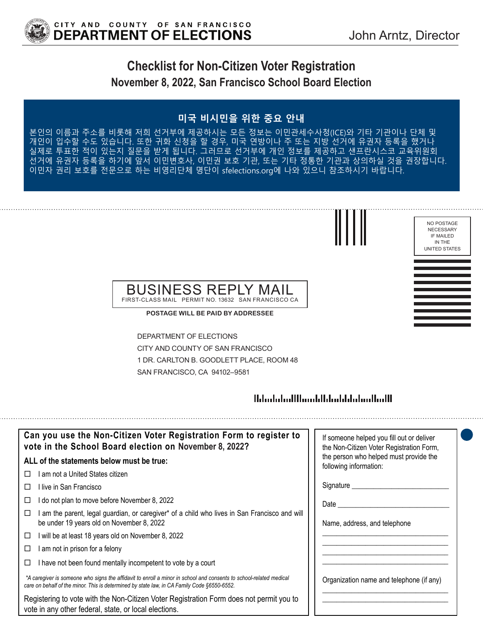

NO POSTAGE NECESSARY IF MAILED IN THE UNITED STATES

# **Checklist for Non-Citizen Voter Registration November 8, 2022, San Francisco School Board Election**

### **미국 비시민을 위한 중요 안내**

름과 주소를 비롯해 저희 선거부에 제공하시는 모든 정보는 이민관세수사청(ICE)와 기타 기관이나 단체 및 할 수도 있습니다. 또한 귀화 신청을 할 경우, 미국 연방이나 주 또는 지방 선거에 유권자 등록을 했거나 실제로 투표한 적이 있는지 질문을 받게 됩니다. 그러므로 선거부에 개인 정보를 제공하고 샌프란시스코 교육위원회 선거에 유권자 등록을 하기에 앞서 이민변호사, 이민권 보호 기관, 또는 기타 정통한 기관과 상의하실 것을 권장합니다. 이민자 권리 보호를 전문으로 하는 비영리단체 명단이 sfelections.org에 나와 있으니 참조하시기 바랍니다.



**POSTAGE WILL BE PAID BY ADDRESSEE**

DEPARTMENT OF ELECTIONS CITY AND COUNTY OF SAN FRANCISCO 1 DR. CARLTON B. GOODLETT PLACE, ROOM 48 SAN FRANCISCO, CA 94102–9581

### 

| Can you use the Non-Citizen Voter Registration Form to register to<br>vote in the School Board election on November 8, 2022?                                                                                      | If someone helped you fill out or deliver<br>the Non-Citizen Voter Registration Form, |
|-------------------------------------------------------------------------------------------------------------------------------------------------------------------------------------------------------------------|---------------------------------------------------------------------------------------|
| ALL of the statements below must be true:                                                                                                                                                                         | the person who helped must provide the<br>following information:                      |
| I am not a United States citizen                                                                                                                                                                                  |                                                                                       |
| l live in San Francisco                                                                                                                                                                                           | Signature __________                                                                  |
| I do not plan to move before November 8, 2022<br>□                                                                                                                                                                | Date                                                                                  |
| am the parent, legal guardian, or caregiver* of a child who lives in San Francisco and will<br>be under 19 years old on November 8, 2022                                                                          | Name, address, and telephone                                                          |
| I will be at least 18 years old on November 8, 2022<br>□                                                                                                                                                          |                                                                                       |
| I am not in prison for a felony<br>□                                                                                                                                                                              |                                                                                       |
| I have not been found mentally incompetent to vote by a court                                                                                                                                                     |                                                                                       |
| *A caregiver is someone who signs the affidavit to enroll a minor in school and consents to school-related medical<br>care on behalf of the minor. This is determined by state law, in CA Family Code §6550-6552. | Organization name and telephone (if any)                                              |
| Registering to vote with the Non-Citizen Voter Registration Form does not permit you to<br>vote in any other federal, state, or local elections.                                                                  |                                                                                       |